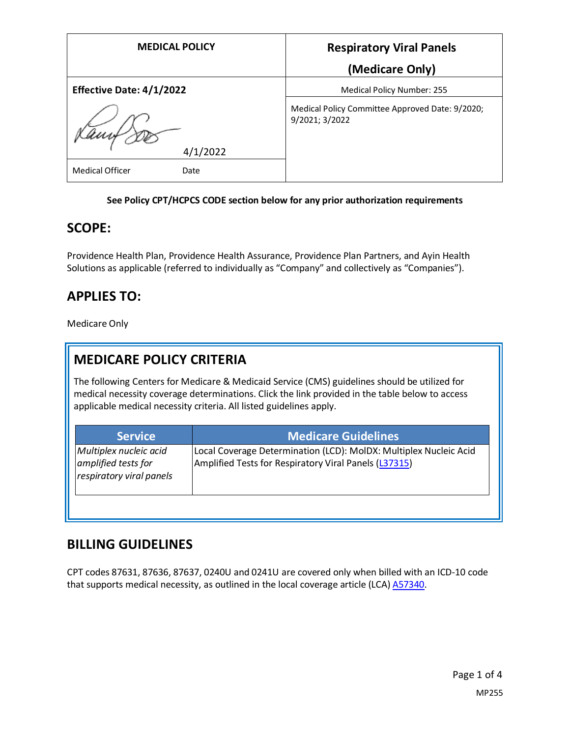| <b>MEDICAL POLICY</b>           | <b>Respiratory Viral Panels</b>                                   |
|---------------------------------|-------------------------------------------------------------------|
|                                 | (Medicare Only)                                                   |
| <b>Effective Date: 4/1/2022</b> | Medical Policy Number: 255                                        |
| 4/1/2022                        | Medical Policy Committee Approved Date: 9/2020;<br>9/2021; 3/2022 |
| <b>Medical Officer</b><br>Date  |                                                                   |

### **See Policy CPT/HCPCS CODE section below for any prior authorization requirements**

### **SCOPE:**

Providence Health Plan, Providence Health Assurance, Providence Plan Partners, and Ayin Health Solutions as applicable (referred to individually as "Company" and collectively as "Companies").

## **APPLIES TO:**

Medicare Only

# **MEDICARE POLICY CRITERIA**

The following Centers for Medicare & Medicaid Service (CMS) guidelines should be utilized for medical necessity coverage determinations. Click the link provided in the table below to access applicable medical necessity criteria. All listed guidelines apply.

| <b>Service</b>                                                            | <b>Medicare Guidelines</b>                                                                                                 |
|---------------------------------------------------------------------------|----------------------------------------------------------------------------------------------------------------------------|
| Multiplex nucleic acid<br>amplified tests for<br>respiratory viral panels | Local Coverage Determination (LCD): MolDX: Multiplex Nucleic Acid<br>Amplified Tests for Respiratory Viral Panels (L37315) |
|                                                                           |                                                                                                                            |

### **BILLING GUIDELINES**

CPT codes 87631, 87636, 87637, 0240U and 0241U are covered only when billed with an ICD-10 code that supports medical necessity, as outlined in the local coverage article (LCA[\) A57340.](https://www.cms.gov/medicare-coverage-database/details/article-details.aspx?articleid=57340)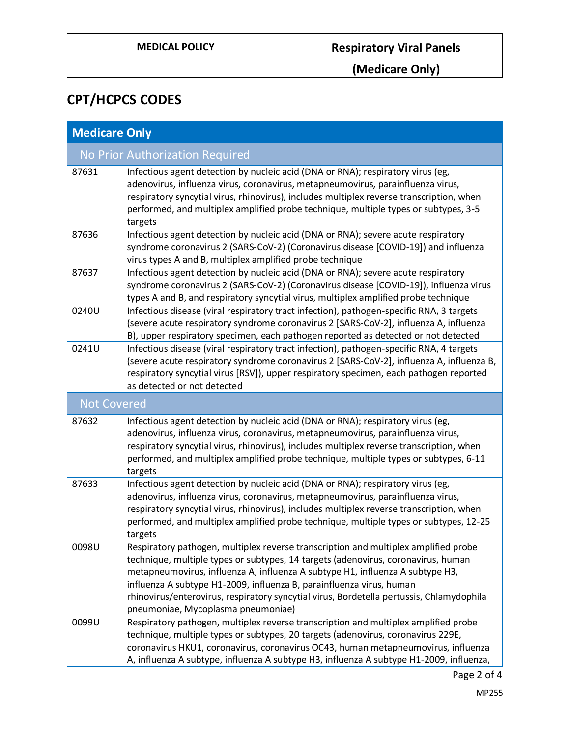# **CPT/HCPCS CODES**

| <b>Medicare Only</b>            |                                                                                                                                                                                                                                                                                                                                                                                                                                                                     |  |
|---------------------------------|---------------------------------------------------------------------------------------------------------------------------------------------------------------------------------------------------------------------------------------------------------------------------------------------------------------------------------------------------------------------------------------------------------------------------------------------------------------------|--|
| No Prior Authorization Required |                                                                                                                                                                                                                                                                                                                                                                                                                                                                     |  |
| 87631                           | Infectious agent detection by nucleic acid (DNA or RNA); respiratory virus (eg,<br>adenovirus, influenza virus, coronavirus, metapneumovirus, parainfluenza virus,<br>respiratory syncytial virus, rhinovirus), includes multiplex reverse transcription, when<br>performed, and multiplex amplified probe technique, multiple types or subtypes, 3-5<br>targets                                                                                                    |  |
| 87636                           | Infectious agent detection by nucleic acid (DNA or RNA); severe acute respiratory<br>syndrome coronavirus 2 (SARS-CoV-2) (Coronavirus disease [COVID-19]) and influenza<br>virus types A and B, multiplex amplified probe technique                                                                                                                                                                                                                                 |  |
| 87637                           | Infectious agent detection by nucleic acid (DNA or RNA); severe acute respiratory<br>syndrome coronavirus 2 (SARS-CoV-2) (Coronavirus disease [COVID-19]), influenza virus<br>types A and B, and respiratory syncytial virus, multiplex amplified probe technique                                                                                                                                                                                                   |  |
| 0240U                           | Infectious disease (viral respiratory tract infection), pathogen-specific RNA, 3 targets<br>(severe acute respiratory syndrome coronavirus 2 [SARS-CoV-2], influenza A, influenza<br>B), upper respiratory specimen, each pathogen reported as detected or not detected                                                                                                                                                                                             |  |
| 0241U                           | Infectious disease (viral respiratory tract infection), pathogen-specific RNA, 4 targets<br>(severe acute respiratory syndrome coronavirus 2 [SARS-CoV-2], influenza A, influenza B,<br>respiratory syncytial virus [RSV]), upper respiratory specimen, each pathogen reported<br>as detected or not detected                                                                                                                                                       |  |
| <b>Not Covered</b>              |                                                                                                                                                                                                                                                                                                                                                                                                                                                                     |  |
| 87632                           | Infectious agent detection by nucleic acid (DNA or RNA); respiratory virus (eg,<br>adenovirus, influenza virus, coronavirus, metapneumovirus, parainfluenza virus,<br>respiratory syncytial virus, rhinovirus), includes multiplex reverse transcription, when<br>performed, and multiplex amplified probe technique, multiple types or subtypes, 6-11<br>targets                                                                                                   |  |
| 87633                           | Infectious agent detection by nucleic acid (DNA or RNA); respiratory virus (eg,<br>adenovirus, influenza virus, coronavirus, metapneumovirus, parainfluenza virus,<br>respiratory syncytial virus, rhinovirus), includes multiplex reverse transcription, when<br>performed, and multiplex amplified probe technique, multiple types or subtypes, 12-25<br>targets                                                                                                  |  |
| 0098U                           | Respiratory pathogen, multiplex reverse transcription and multiplex amplified probe<br>technique, multiple types or subtypes, 14 targets (adenovirus, coronavirus, human<br>metapneumovirus, influenza A, influenza A subtype H1, influenza A subtype H3,<br>influenza A subtype H1-2009, influenza B, parainfluenza virus, human<br>rhinovirus/enterovirus, respiratory syncytial virus, Bordetella pertussis, Chlamydophila<br>pneumoniae, Mycoplasma pneumoniae) |  |
| 0099U                           | Respiratory pathogen, multiplex reverse transcription and multiplex amplified probe<br>technique, multiple types or subtypes, 20 targets (adenovirus, coronavirus 229E,<br>coronavirus HKU1, coronavirus, coronavirus OC43, human metapneumovirus, influenza<br>A, influenza A subtype, influenza A subtype H3, influenza A subtype H1-2009, influenza,                                                                                                             |  |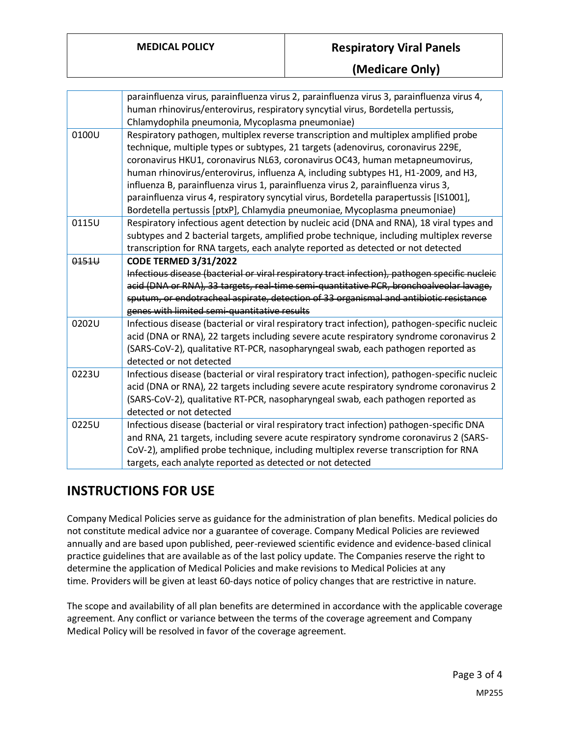### **MEDICAL POLICY Respiratory Viral Panels**

|       | parainfluenza virus, parainfluenza virus 2, parainfluenza virus 3, parainfluenza virus 4,<br>human rhinovirus/enterovirus, respiratory syncytial virus, Bordetella pertussis,<br>Chlamydophila pneumonia, Mycoplasma pneumoniae)                                                                                                                                                                                                                                                                                                                                                                          |
|-------|-----------------------------------------------------------------------------------------------------------------------------------------------------------------------------------------------------------------------------------------------------------------------------------------------------------------------------------------------------------------------------------------------------------------------------------------------------------------------------------------------------------------------------------------------------------------------------------------------------------|
| 0100U | Respiratory pathogen, multiplex reverse transcription and multiplex amplified probe<br>technique, multiple types or subtypes, 21 targets (adenovirus, coronavirus 229E,<br>coronavirus HKU1, coronavirus NL63, coronavirus OC43, human metapneumovirus,<br>human rhinovirus/enterovirus, influenza A, including subtypes H1, H1-2009, and H3,<br>influenza B, parainfluenza virus 1, parainfluenza virus 2, parainfluenza virus 3,<br>parainfluenza virus 4, respiratory syncytial virus, Bordetella parapertussis [IS1001],<br>Bordetella pertussis [ptxP], Chlamydia pneumoniae, Mycoplasma pneumoniae) |
| 0115U | Respiratory infectious agent detection by nucleic acid (DNA and RNA), 18 viral types and<br>subtypes and 2 bacterial targets, amplified probe technique, including multiplex reverse<br>transcription for RNA targets, each analyte reported as detected or not detected                                                                                                                                                                                                                                                                                                                                  |
| 0151U | <b>CODE TERMED 3/31/2022</b><br>Infectious disease (bacterial or viral respiratory tract infection), pathogen specific nucleic<br>acid (DNA or RNA), 33 targets, real-time semi-quantitative PCR, bronchoalveolar lavage,<br>sputum, or endotracheal aspirate, detection of 33 organismal and antibiotic resistance<br>genes with limited semi-quantitative results                                                                                                                                                                                                                                       |
| 0202U | Infectious disease (bacterial or viral respiratory tract infection), pathogen-specific nucleic<br>acid (DNA or RNA), 22 targets including severe acute respiratory syndrome coronavirus 2<br>(SARS-CoV-2), qualitative RT-PCR, nasopharyngeal swab, each pathogen reported as<br>detected or not detected                                                                                                                                                                                                                                                                                                 |
| 0223U | Infectious disease (bacterial or viral respiratory tract infection), pathogen-specific nucleic<br>acid (DNA or RNA), 22 targets including severe acute respiratory syndrome coronavirus 2<br>(SARS-CoV-2), qualitative RT-PCR, nasopharyngeal swab, each pathogen reported as<br>detected or not detected                                                                                                                                                                                                                                                                                                 |
| 0225U | Infectious disease (bacterial or viral respiratory tract infection) pathogen-specific DNA<br>and RNA, 21 targets, including severe acute respiratory syndrome coronavirus 2 (SARS-<br>CoV-2), amplified probe technique, including multiplex reverse transcription for RNA<br>targets, each analyte reported as detected or not detected                                                                                                                                                                                                                                                                  |

# **INSTRUCTIONS FOR USE**

Company Medical Policies serve as guidance for the administration of plan benefits. Medical policies do not constitute medical advice nor a guarantee of coverage. Company Medical Policies are reviewed annually and are based upon published, peer-reviewed scientific evidence and evidence-based clinical practice guidelines that are available as of the last policy update. The Companies reserve the right to determine the application of Medical Policies and make revisions to Medical Policies at any time. Providers will be given at least 60-days notice of policy changes that are restrictive in nature.

The scope and availability of all plan benefits are determined in accordance with the applicable coverage agreement. Any conflict or variance between the terms of the coverage agreement and Company Medical Policy will be resolved in favor of the coverage agreement.